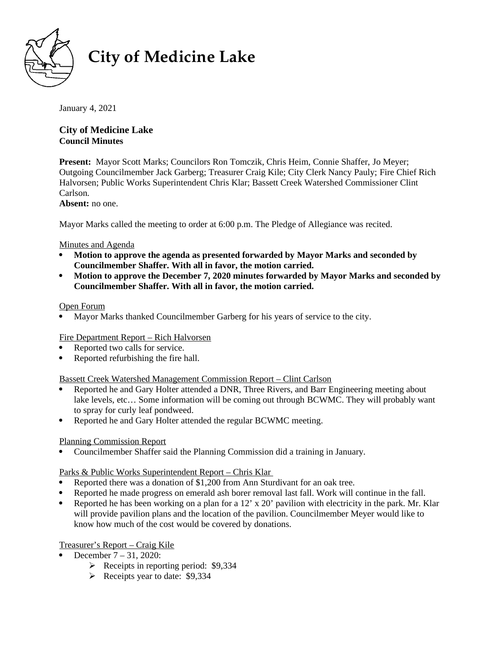

# **City of Medicine Lake**

January 4, 2021

#### **City of Medicine Lake Council Minutes**   $10609$  South Shore  $\frac{1}{2}$   $\frac{1}{2}$   $\frac{1}{2}$   $\frac{1}{2}$   $\frac{1}{2}$   $\frac{1}{2}$   $\frac{1}{2}$   $\frac{1}{2}$   $\frac{1}{2}$   $\frac{1}{2}$   $\frac{1}{2}$   $\frac{1}{2}$   $\frac{1}{2}$   $\frac{1}{2}$   $\frac{1}{2}$   $\frac{1}{2}$   $\frac{1}{2}$   $\frac{1}{2}$   $\frac{1}{2}$   $\frac{1}{2}$

**Present:** Mayor Scott Marks; Councilors Ron Tomczik, Chris Heim, Connie Shaffer, Jo Meyer; Outgoing Councilmember Jack Garberg; Treasurer Craig Kile; City Clerk Nancy Pauly; Fire Chief Rich Halvorsen; Public Works Superintendent Chris Klar; Bassett Creek Watershed Commissioner Clint Carlson.

**Absent:** no one.

Mayor Marks called the meeting to order at 6:00 p.m. The Pledge of Allegiance was recited.

## Minutes and Agenda

- **Motion to approve the agenda as presented forwarded by Mayor Marks and seconded by Councilmember Shaffer. With all in favor, the motion carried.**
- **Motion to approve the December 7, 2020 minutes forwarded by Mayor Marks and seconded by Councilmember Shaffer. With all in favor, the motion carried.**

## Open Forum

Mayor Marks thanked Councilmember Garberg for his years of service to the city.

## Fire Department Report – Rich Halvorsen

- Reported two calls for service.
- Reported refurbishing the fire hall.

## Bassett Creek Watershed Management Commission Report – Clint Carlson

- Reported he and Gary Holter attended a DNR, Three Rivers, and Barr Engineering meeting about lake levels, etc… Some information will be coming out through BCWMC. They will probably want to spray for curly leaf pondweed.
- Reported he and Gary Holter attended the regular BCWMC meeting.

## Planning Commission Report

Councilmember Shaffer said the Planning Commission did a training in January.

## Parks & Public Works Superintendent Report – Chris Klar

- Reported there was a donation of \$1,200 from Ann Sturdivant for an oak tree.
- Reported he made progress on emerald ash borer removal last fall. Work will continue in the fall.
- Reported he has been working on a plan for a 12' x 20' pavilion with electricity in the park. Mr. Klar will provide pavilion plans and the location of the pavilion. Councilmember Meyer would like to know how much of the cost would be covered by donations.

## Treasurer's Report – Craig Kile

- December 7 31, 2020:
	- $\triangleright$  Receipts in reporting period: \$9,334
	- $\triangleright$  Receipts year to date: \$9,334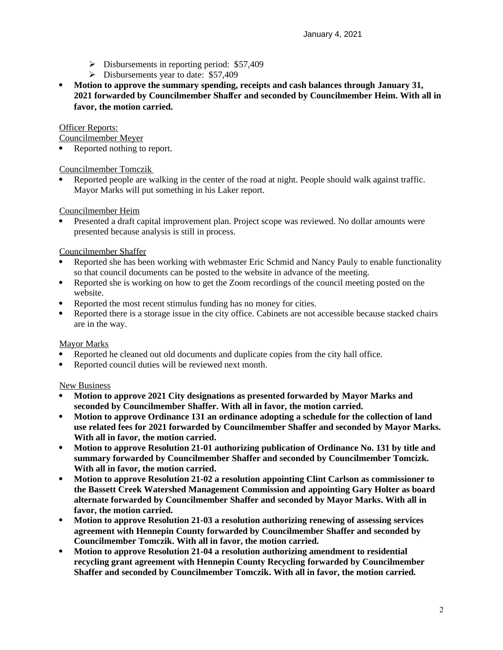- $\triangleright$  Disbursements in reporting period: \$57,409
- $\triangleright$  Disbursements year to date: \$57,409
- **Motion to approve the summary spending, receipts and cash balances through January 31, 2021 forwarded by Councilmember Shaffer and seconded by Councilmember Heim. With all in favor, the motion carried.**

## Officer Reports:

Councilmember Meyer

• Reported nothing to report.

## Councilmember Tomczik

 Reported people are walking in the center of the road at night. People should walk against traffic. Mayor Marks will put something in his Laker report.

## Councilmember Heim

 Presented a draft capital improvement plan. Project scope was reviewed. No dollar amounts were presented because analysis is still in process.

## Councilmember Shaffer

- Reported she has been working with webmaster Eric Schmid and Nancy Pauly to enable functionality so that council documents can be posted to the website in advance of the meeting.
- Reported she is working on how to get the Zoom recordings of the council meeting posted on the website.
- Reported the most recent stimulus funding has no money for cities.
- Reported there is a storage issue in the city office. Cabinets are not accessible because stacked chairs are in the way.

## Mayor Marks

- Reported he cleaned out old documents and duplicate copies from the city hall office.
- Reported council duties will be reviewed next month.

## New Business

- **Motion to approve 2021 City designations as presented forwarded by Mayor Marks and seconded by Councilmember Shaffer. With all in favor, the motion carried.**
- **Motion to approve Ordinance 131 an ordinance adopting a schedule for the collection of land use related fees for 2021 forwarded by Councilmember Shaffer and seconded by Mayor Marks. With all in favor, the motion carried.**
- **Motion to approve Resolution 21-01 authorizing publication of Ordinance No. 131 by title and summary forwarded by Councilmember Shaffer and seconded by Councilmember Tomcizk. With all in favor, the motion carried.**
- **Motion to approve Resolution 21-02 a resolution appointing Clint Carlson as commissioner to the Bassett Creek Watershed Management Commission and appointing Gary Holter as board alternate forwarded by Councilmember Shaffer and seconded by Mayor Marks. With all in favor, the motion carried.**
- **Motion to approve Resolution 21-03 a resolution authorizing renewing of assessing services agreement with Hennepin County forwarded by Councilmember Shaffer and seconded by Councilmember Tomczik. With all in favor, the motion carried.**
- **Motion to approve Resolution 21-04 a resolution authorizing amendment to residential recycling grant agreement with Hennepin County Recycling forwarded by Councilmember Shaffer and seconded by Councilmember Tomczik. With all in favor, the motion carried.**